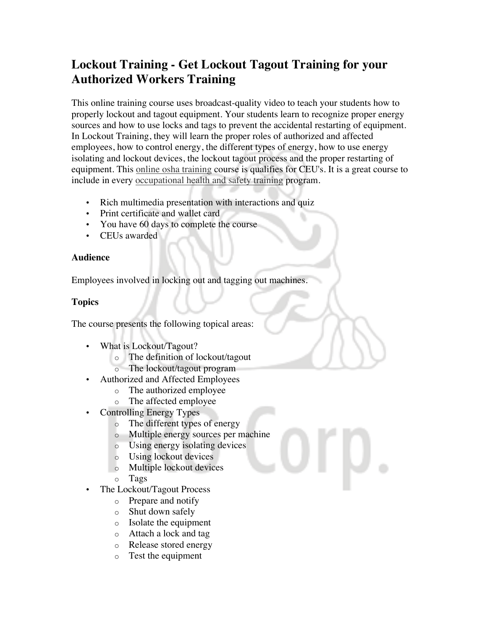# **Lockout Training - Get Lockout Tagout Training for your Authorized Workers Training**

This online training course uses broadcast-quality video to teach your students how to properly lockout and tagout equipment. Your students learn to recognize proper energy sources and how to use locks and tags to prevent the accidental restarting of equipment. In Lockout Training, they will learn the proper roles of authorized and affected employees, how to control energy, the different types of energy, how to use energy isolating and lockout devices, the lockout tagout process and the proper restarting of equipment. This online osha training course is qualifies for CEU's. It is a great course to include in every occupational health and safety training program.

- Rich multimedia presentation with interactions and quiz
- Print certificate and wallet card
- You have 60 days to complete the course
- CEUs awarded

## **Audience**

Employees involved in locking out and tagging out machines.

# **Topics**

The course presents the following topical areas:

- What is Lockout/Tagout?
	- o The definition of lockout/tagout
	- o The lockout/tagout program
	- Authorized and Affected Employees
		- o The authorized employee
		- o The affected employee
- Controlling Energy Types
	- o The different types of energy
	- o Multiple energy sources per machine
	- o Using energy isolating devices
	- o Using lockout devices
	- o Multiple lockout devices
	- o Tags
- The Lockout/Tagout Process
	- o Prepare and notify
	- o Shut down safely
	- o Isolate the equipment
	- o Attach a lock and tag
	- o Release stored energy
	- o Test the equipment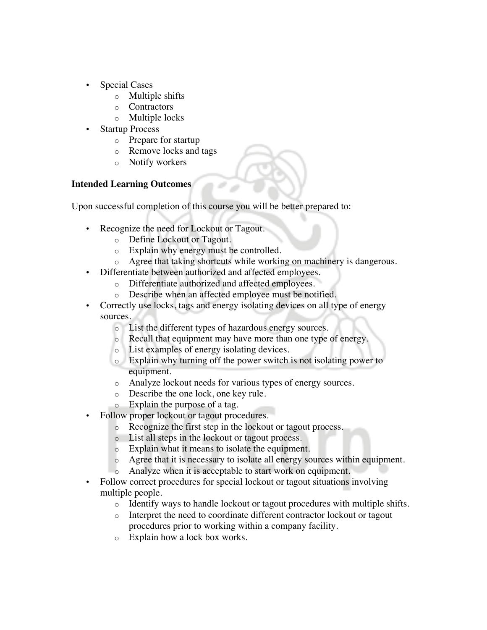- Special Cases
	- o Multiple shifts
	- o Contractors
	- o Multiple locks
- **Startup Process** 
	- o Prepare for startup
	- o Remove locks and tags
	- o Notify workers

## **Intended Learning Outcomes**

Upon successful completion of this course you will be better prepared to:

- Recognize the need for Lockout or Tagout.
	- o Define Lockout or Tagout.
	- o Explain why energy must be controlled.
- o Agree that taking shortcuts while working on machinery is dangerous.
- Differentiate between authorized and affected employees.
	- o Differentiate authorized and affected employees.
	- o Describe when an affected employee must be notified.
- Correctly use locks, tags and energy isolating devices on all type of energy sources.
	- o List the different types of hazardous energy sources.
	- o Recall that equipment may have more than one type of energy.
	- o List examples of energy isolating devices.
	- o Explain why turning off the power switch is not isolating power to equipment.
	- o Analyze lockout needs for various types of energy sources.
	- o Describe the one lock, one key rule.
	- o Explain the purpose of a tag.
- Follow proper lockout or tagout procedures.
	- o Recognize the first step in the lockout or tagout process.
	- o List all steps in the lockout or tagout process.
	- o Explain what it means to isolate the equipment.
	- o Agree that it is necessary to isolate all energy sources within equipment.
	- o Analyze when it is acceptable to start work on equipment.
- Follow correct procedures for special lockout or tagout situations involving multiple people.
	- o Identify ways to handle lockout or tagout procedures with multiple shifts.
	- o Interpret the need to coordinate different contractor lockout or tagout procedures prior to working within a company facility.
	- o Explain how a lock box works.